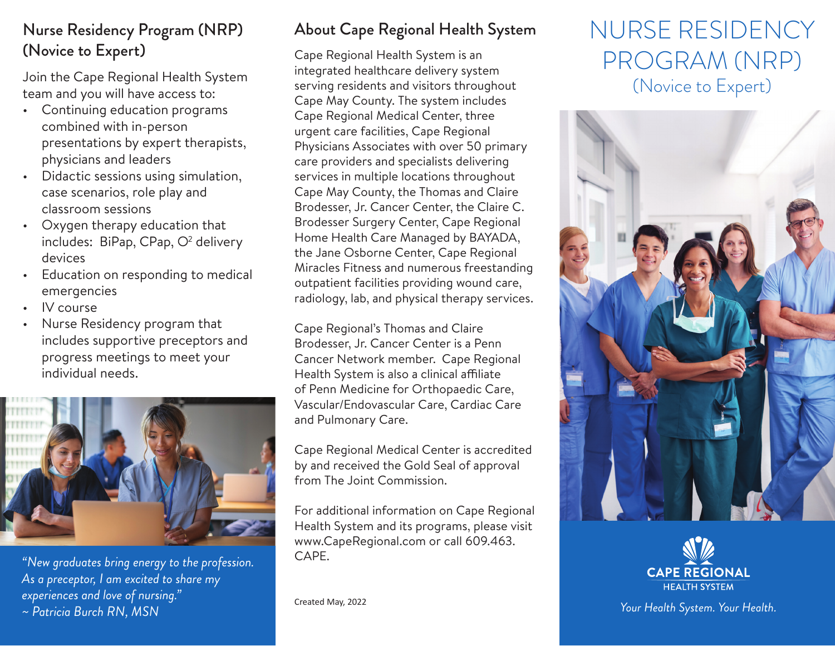#### Nurse Residency Program (NRP) (Novice to Expert)

Join the Cape Regional Health System team and you will have access to:

- Continuing education programs combined with in-person presentations by expert therapists, physicians and leaders
- Didactic sessions using simulation, case scenarios, role play and classroom sessions
- Oxygen therapy education that includes: BiPap, CPap,  $O<sup>2</sup>$  delivery devices
- Education on responding to medical emergencies
- IV course
- Nurse Residency program that includes supportive preceptors and progress meetings to meet your individual needs.



*"New graduates bring energy to the profession. As a preceptor, I am excited to share my experiences and love of nursing." ~ Patricia Burch RN, MSN* Created May, 2022

### About Cape Regional Health System

Cape Regional Health System is an integrated healthcare delivery system serving residents and visitors throughout Cape May County. The system includes Cape Regional Medical Center, three urgent care facilities, Cape Regional Physicians Associates with over 50 primary care providers and specialists delivering services in multiple locations throughout Cape May County, the Thomas and Claire Brodesser, Jr. Cancer Center, the Claire C. Brodesser Surgery Center, Cape Regional Home Health Care Managed by BAYADA, the Jane Osborne Center, Cape Regional Miracles Fitness and numerous freestanding outpatient facilities providing wound care, radiology, lab, and physical therapy services.

Cape Regional's Thomas and Claire Brodesser, Jr. Cancer Center is a Penn Cancer Network member. Cape Regional Health System is also a clinical affiliate of Penn Medicine for Orthopaedic Care, Vascular/Endovascular Care, Cardiac Care and Pulmonary Care.

Cape Regional Medical Center is accredited by and received the Gold Seal of approval from The Joint Commission.

For additional information on Cape Regional Health System and its programs, please visit www.CapeRegional.com or call 609.463. CAPE.

# NURSE RESIDENCY PROGRAM (NRP) (Novice to Expert)





*Your Health System. Your Health.*